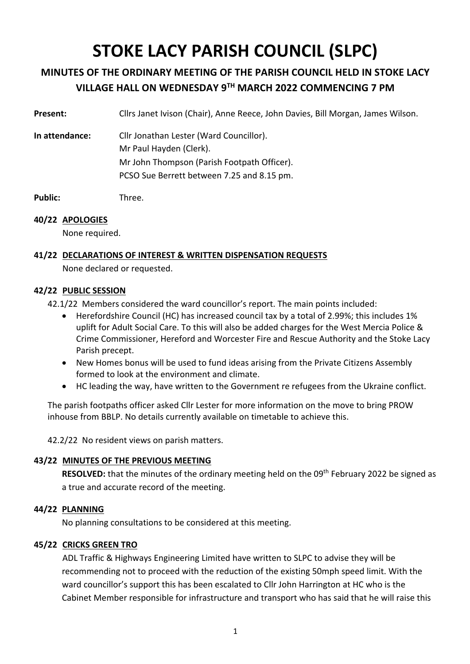# **STOKE LACY PARISH COUNCIL (SLPC)**

# **MINUTES OF THE ORDINARY MEETING OF THE PARISH COUNCIL HELD IN STOKE LACY VILLAGE HALL ON WEDNESDAY 9TH MARCH 2022 COMMENCING 7 PM**

**Present:** Cllrs Janet Ivison (Chair), Anne Reece, John Davies, Bill Morgan, James Wilson.

**In attendance:** Cllr Jonathan Lester (Ward Councillor). Mr Paul Hayden (Clerk). Mr John Thompson (Parish Footpath Officer). PCSO Sue Berrett between 7.25 and 8.15 pm.

**Public:** Three.

# **40/22 APOLOGIES**

None required.

# **41/22 DECLARATIONS OF INTEREST & WRITTEN DISPENSATION REQUESTS**

None declared or requested.

# **42/22 PUBLIC SESSION**

42.1/22 Members considered the ward councillor's report. The main points included:

- Herefordshire Council (HC) has increased council tax by a total of 2.99%; this includes 1% uplift for Adult Social Care. To this will also be added charges for the West Mercia Police & Crime Commissioner, Hereford and Worcester Fire and Rescue Authority and the Stoke Lacy Parish precept.
- New Homes bonus will be used to fund ideas arising from the Private Citizens Assembly formed to look at the environment and climate.
- HC leading the way, have written to the Government re refugees from the Ukraine conflict.

The parish footpaths officer asked Cllr Lester for more information on the move to bring PROW inhouse from BBLP. No details currently available on timetable to achieve this.

42.2/22 No resident views on parish matters.

# **43/22 MINUTES OF THE PREVIOUS MEETING**

**RESOLVED:** that the minutes of the ordinary meeting held on the 09<sup>th</sup> February 2022 be signed as a true and accurate record of the meeting.

# **44/22 PLANNING**

No planning consultations to be considered at this meeting.

# **45/22 CRICKS GREEN TRO**

ADL Traffic & Highways Engineering Limited have written to SLPC to advise they will be recommending not to proceed with the reduction of the existing 50mph speed limit. With the ward councillor's support this has been escalated to Cllr John Harrington at HC who is the Cabinet Member responsible for infrastructure and transport who has said that he will raise this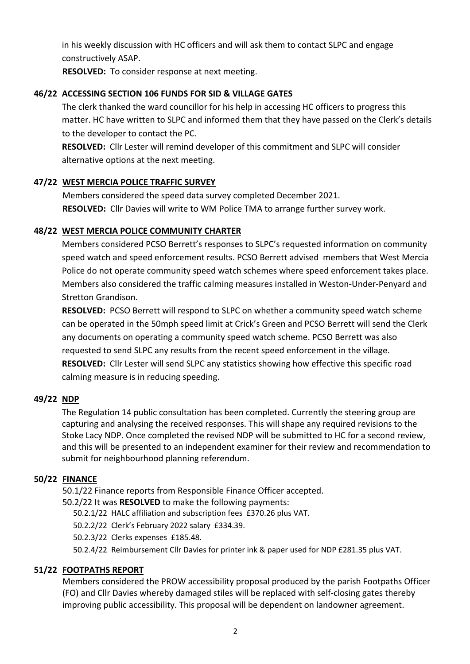in his weekly discussion with HC officers and will ask them to contact SLPC and engage constructively ASAP.

**RESOLVED:** To consider response at next meeting.

# **46/22 ACCESSING SECTION 106 FUNDS FOR SID & VILLAGE GATES**

The clerk thanked the ward councillor for his help in accessing HC officers to progress this matter. HC have written to SLPC and informed them that they have passed on the Clerk's details to the developer to contact the PC.

**RESOLVED:** Cllr Lester will remind developer of this commitment and SLPC will consider alternative options at the next meeting.

# **47/22 WEST MERCIA POLICE TRAFFIC SURVEY**

Members considered the speed data survey completed December 2021. **RESOLVED:** Cllr Davies will write to WM Police TMA to arrange further survey work.

# **48/22 WEST MERCIA POLICE COMMUNITY CHARTER**

Members considered PCSO Berrett's responses to SLPC's requested information on community speed watch and speed enforcement results. PCSO Berrett advised members that West Mercia Police do not operate community speed watch schemes where speed enforcement takes place. Members also considered the traffic calming measures installed in Weston-Under-Penyard and Stretton Grandison.

**RESOLVED:** PCSO Berrett will respond to SLPC on whether a community speed watch scheme can be operated in the 50mph speed limit at Crick's Green and PCSO Berrett will send the Clerk any documents on operating a community speed watch scheme. PCSO Berrett was also requested to send SLPC any results from the recent speed enforcement in the village. **RESOLVED:** Cllr Lester will send SLPC any statistics showing how effective this specific road calming measure is in reducing speeding.

# **49/22 NDP**

The Regulation 14 public consultation has been completed. Currently the steering group are capturing and analysing the received responses. This will shape any required revisions to the Stoke Lacy NDP. Once completed the revised NDP will be submitted to HC for a second review, and this will be presented to an independent examiner for their review and recommendation to submit for neighbourhood planning referendum.

# **50/22 FINANCE**

50.1/22 Finance reports from Responsible Finance Officer accepted.

50.2/22 It was **RESOLVED** to make the following payments:

50.2.1/22 HALC affiliation and subscription fees £370.26 plus VAT.

50.2.2/22 Clerk's February 2022 salary £334.39.

50.2.3/22 Clerks expenses £185.48.

50.2.4/22 Reimbursement Cllr Davies for printer ink & paper used for NDP £281.35 plus VAT.

# **51/22 FOOTPATHS REPORT**

Members considered the PROW accessibility proposal produced by the parish Footpaths Officer (FO) and Cllr Davies whereby damaged stiles will be replaced with self-closing gates thereby improving public accessibility. This proposal will be dependent on landowner agreement.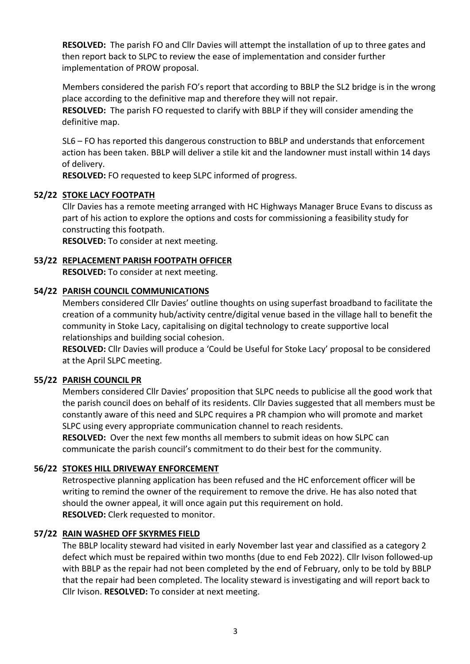**RESOLVED:** The parish FO and Cllr Davies will attempt the installation of up to three gates and then report back to SLPC to review the ease of implementation and consider further implementation of PROW proposal.

Members considered the parish FO's report that according to BBLP the SL2 bridge is in the wrong place according to the definitive map and therefore they will not repair.

**RESOLVED:** The parish FO requested to clarify with BBLP if they will consider amending the definitive map.

SL6 – FO has reported this dangerous construction to BBLP and understands that enforcement action has been taken. BBLP will deliver a stile kit and the landowner must install within 14 days of delivery.

**RESOLVED:** FO requested to keep SLPC informed of progress.

# **52/22 STOKE LACY FOOTPATH**

Cllr Davies has a remote meeting arranged with HC Highways Manager Bruce Evans to discuss as part of his action to explore the options and costs for commissioning a feasibility study for constructing this footpath.

**RESOLVED:** To consider at next meeting.

#### **53/22 REPLACEMENT PARISH FOOTPATH OFFICER**

**RESOLVED:** To consider at next meeting.

#### **54/22 PARISH COUNCIL COMMUNICATIONS**

Members considered Cllr Davies' outline thoughts on using superfast broadband to facilitate the creation of a community hub/activity centre/digital venue based in the village hall to benefit the community in Stoke Lacy, capitalising on digital technology to create supportive local relationships and building social cohesion.

**RESOLVED:** Cllr Davies will produce a 'Could be Useful for Stoke Lacy' proposal to be considered at the April SLPC meeting.

#### **55/22 PARISH COUNCIL PR**

Members considered Cllr Davies' proposition that SLPC needs to publicise all the good work that the parish council does on behalf of its residents. Cllr Davies suggested that all members must be constantly aware of this need and SLPC requires a PR champion who will promote and market SLPC using every appropriate communication channel to reach residents. **RESOLVED:** Over the next few months all members to submit ideas on how SLPC can

communicate the parish council's commitment to do their best for the community.

# **56/22 STOKES HILL DRIVEWAY ENFORCEMENT**

Retrospective planning application has been refused and the HC enforcement officer will be writing to remind the owner of the requirement to remove the drive. He has also noted that should the owner appeal, it will once again put this requirement on hold. **RESOLVED:** Clerk requested to monitor.

# **57/22 RAIN WASHED OFF SKYRMES FIELD**

The BBLP locality steward had visited in early November last year and classified as a category 2 defect which must be repaired within two months (due to end Feb 2022). Cllr Ivison followed-up with BBLP as the repair had not been completed by the end of February, only to be told by BBLP that the repair had been completed. The locality steward is investigating and will report back to Cllr Ivison. **RESOLVED:** To consider at next meeting.